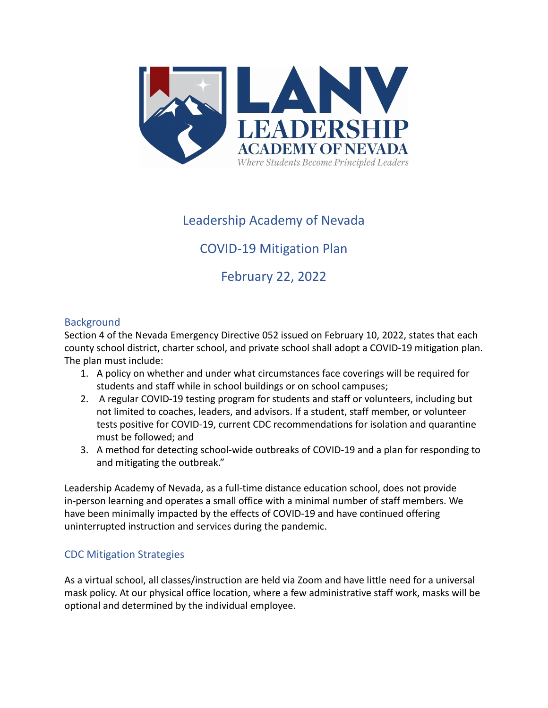

# Leadership Academy of Nevada

# COVID-19 Mitigation Plan

February 22, 2022

## **Background**

Section 4 of the Nevada Emergency Directive 052 issued on February 10, 2022, states that each county school district, charter school, and private school shall adopt a COVID-19 mitigation plan. The plan must include:

- 1. A policy on whether and under what circumstances face coverings will be required for students and staff while in school buildings or on school campuses;
- 2. A regular COVID-19 testing program for students and staff or volunteers, including but not limited to coaches, leaders, and advisors. If a student, staff member, or volunteer tests positive for COVID-19, current CDC recommendations for isolation and quarantine must be followed; and
- 3. A method for detecting school-wide outbreaks of COVID-19 and a plan for responding to and mitigating the outbreak."

Leadership Academy of Nevada, as a full-time distance education school, does not provide in-person learning and operates a small office with a minimal number of staff members. We have been minimally impacted by the effects of COVID-19 and have continued offering uninterrupted instruction and services during the pandemic.

## CDC Mitigation Strategies

As a virtual school, all classes/instruction are held via Zoom and have little need for a universal mask policy. At our physical office location, where a few administrative staff work, masks will be optional and determined by the individual employee.